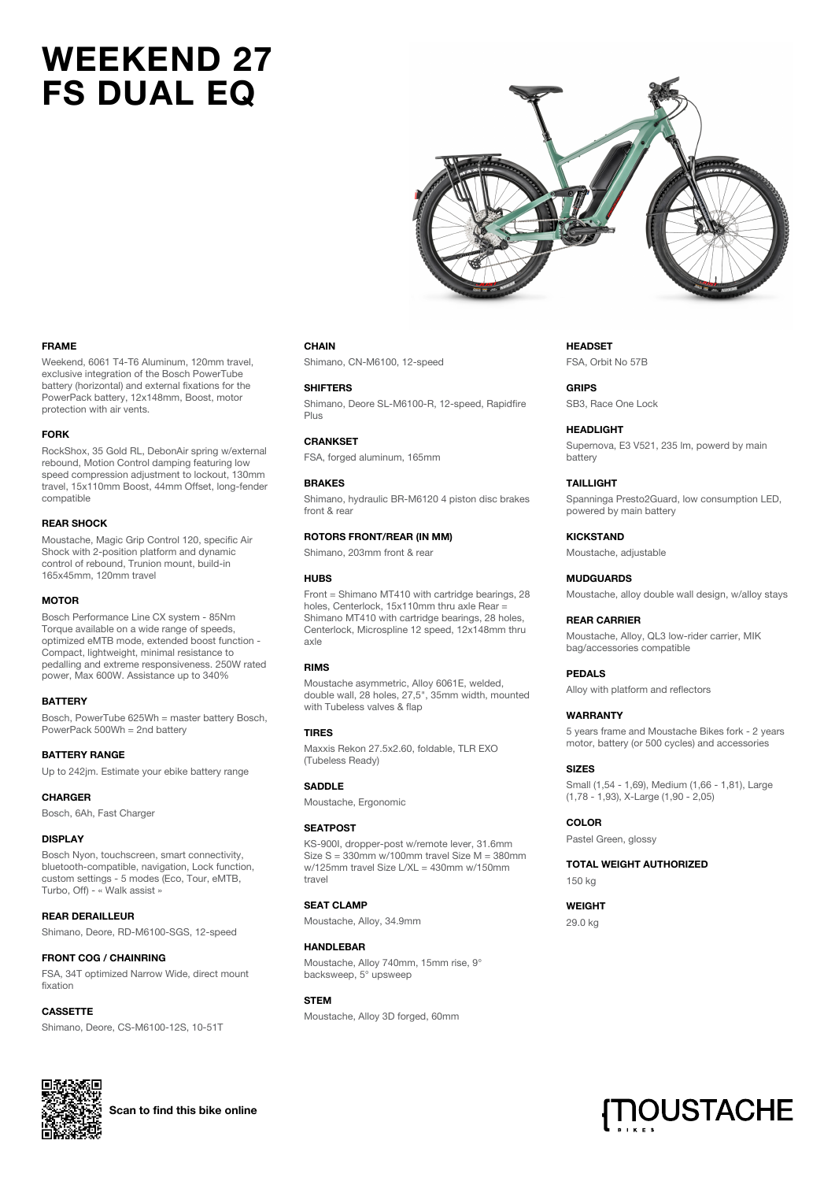# **WEEKEND 27 FS DUAL EQ**



#### **FRAME**

Weekend, 6061 T4-T6 Aluminum, 120mm travel, exclusive integration of the Bosch PowerTube battery (horizontal) and external fixations for the PowerPack battery, 12x148mm, Boost, motor protection with air vents.

#### **FORK**

RockShox, 35 Gold RL, DebonAir spring w/external rebound, Motion Control damping featuring low speed compression adjustment to lockout, 130mm travel, 15x110mm Boost, 44mm Offset, long-fender compatible

#### **REAR SHOCK**

Moustache, Magic Grip Control 120, specific Air Shock with 2-position platform and dynamic control of rebound, Trunion mount, build-in 165x45mm, 120mm travel

#### **MOTOR**

Bosch Performance Line CX system - 85Nm Torque available on a wide range of speeds, optimized eMTB mode, extended boost function - Compact, lightweight, minimal resistance to pedalling and extreme responsiveness. 250W rated power, Max 600W. Assistance up to 340%

#### **BATTERY**

Bosch, PowerTube 625Wh = master battery Bosch, PowerPack 500Wh = 2nd battery

# **BATTERY RANGE**

Up to 242jm. Estimate your ebike battery range

#### **CHARGER**

Bosch, 6Ah, Fast Charger

#### **DISPLAY**

Bosch Nyon, touchscreen, smart connectivity, bluetooth-compatible, navigation, Lock function, custom settings - 5 modes (Eco, Tour, eMTB, Turbo, Off) - « Walk assist »

# **REAR DERAILLEUR**

Shimano, Deore, RD-M6100-SGS, 12-speed

# **FRONT COG / CHAINRING**

FSA, 34T optimized Narrow Wide, direct mount fixation

#### **CASSETTE**

Shimano, Deore, CS-M6100-12S, 10-51T

#### **CHAIN**

Shimano, CN-M6100, 12-speed

#### **SHIFTERS**

Shimano, Deore SL-M6100-R, 12-speed, Rapidfire Plus

# **CRANKSET**

FSA, forged aluminum, 165mm

# **BRAKES**

Shimano, hydraulic BR-M6120 4 piston disc brakes front & rear

## **ROTORS FRONT/REAR (IN MM)**

Shimano, 203mm front & rear

#### **HUBS**

Front = Shimano MT410 with cartridge bearings, 28 holes, Centerlock, 15x110mm thru axle Rear = Shimano MT410 with cartridge bearings, 28 holes, Centerlock, Microspline 12 speed, 12x148mm thru axle

# **RIMS**

Moustache asymmetric, Alloy 6061E, welded, double wall, 28 holes, 27,5", 35mm width, mounted with Tubeless valves & flap

# **TIRES**

Maxxis Rekon 27.5x2.60, foldable, TLR EXO (Tubeless Ready)

#### **SADDLE**

Moustache, Ergonomic

#### **SEATPOST**

KS-900I, dropper-post w/remote lever, 31.6mm  $Size S = 330mm$  w/100mm travel Size  $M = 380mm$ w/125mm travel Size L/XL = 430mm w/150mm travel

# **SEAT CLAMP**

Moustache, Alloy, 34.9mm

#### **HANDI FRAR**

Moustache, Alloy 740mm, 15mm rise, 9° backsweep, 5° upsweep

#### **STEM**

Moustache, Alloy 3D forged, 60mm

# **HEADSET** FSA, Orbit No 57B

**GRIPS** SB3, Race One Lock

# **HEADLIGHT**

Supernova, E3 V521, 235 lm, powerd by main battery

# **TAILLIGHT**

Spanninga Presto2Guard, low consumption LED, powered by main battery

# **KICKSTAND**

Moustache, adjustable

# **MUDGUARDS**

Moustache, alloy double wall design, w/alloy stays

#### **REAR CARRIER**

Moustache, Alloy, QL3 low-rider carrier, MIK bag/accessories compatible

# **PEDALS**

Alloy with platform and reflectors

#### **WARRANTY**

5 years frame and Moustache Bikes fork - 2 years motor, battery (or 500 cycles) and accessories

#### **SIZES**

Small (1,54 - 1,69), Medium (1,66 - 1,81), Large (1,78 - 1,93), X-Large (1,90 - 2,05)

# **COLOR**

Pastel Green, glossy

# **TOTAL WEIGHT AUTHORIZED**

150 kg

**WEIGHT** 29.0 kg





**Scan to find this bike online**